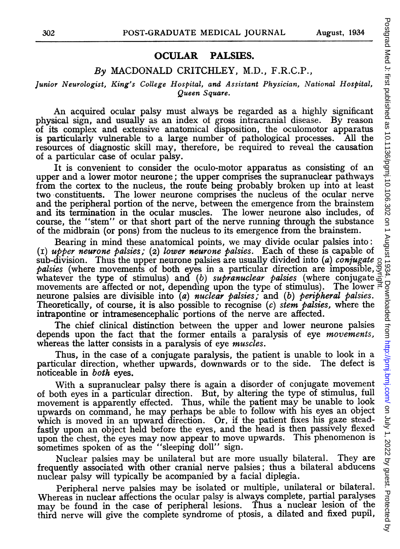# OCULAR PALSIES.

## By MACDONALD CRITCHLEY, M.D., F.R.C.P.,

Junior Neurologist, King's College Hospital, and Assistant Physician, National Hospital, Queen Square.

An acquired ocular palsy must always be regarded as a highly significant physical sign, and usually as an index of gross intracranial disease. By reason of its complex and extensive anatomical disposition, the oculomotor apparatus is particularly vulnerable to a large number of pathological processes. All the resources of diagnostic skill may, therefore, be required to reveal the causation of a particular case of ocular palsy.

It is convenient to consider the oculo-motor apparatus as consisting of an upper and a lower motor neurone; the upper comprises the supranuclear pathways from the cortex to the nucleus, the route being probably broken up into at least two constituents. The lower neurone comprises the nucleus of the ocular nerve and the peripheral portion of the nerve, between the emergence from the brainstem and its termination in the ocular muscles. The lower neurone also includes, of course, the "stem" or that short part of the nerve running through the substance of the midbrain (or pons) from the nucleus to its emergence from the brainstem.

Bearing in mind these anatomical points, we may divide ocular palsies into: (1) upper neurone palsies; (2) lower neurone palsies. Each of these is capable of sub-division. Thus the upper neurone palsies are usually divided into  $(a)$  conjugate *palsies* (where movements of both eyes in a particular direction are impossible, whatever the type of stimulus) and  $(b)$  supranuclear palsies (where conjugate. movements are affected or not, depending upon the type of stimulus). The lower  $\overline{z}$ neurone palsies are divisible into  $(a)$  nuclear palsies; and  $(b)$  peripheral palsies. Theoretically, of course, it is also possible to recognise (c) stem palsies, where the intrapontine or intramesencephalic portions of the nerve are affected. copyright.

The chief clinical distinction between the upper and lower neurone palsies depends upon the fact that the former entails a paralysis of eye movements, whereas the latter consists in a paralysis of eye *muscles*.

Thus, in the case of a conjugate paralysis, the patient is unable to look in a particular direction, whether upwards, downwards or to the side. The defect is noticeable in both eyes.

With a supranuclear palsy there is again a disorder of conjugate movement of both eyes in a particular direction. But, by altering the type of stimulus, full movement is apparently effected. Thus, while the patient may be unable to look upwards on command, he may perhaps be able to follow with his eyes an object which is moved in an upward direction. Or, if the patient fixes his gaze steadfastly upon an object held before the eyes, and the head is then passively flexed upon the chest, the eyes may now appear to move upwards. This phenomenon is sometimes spoken of as the "sleeping doll" sign.

Nuclear palsies may be unilateral but are more usually bilateral. They are frequently associated with other cranial nerve palsies; thus a bilateral abducens nuclear palsy will typically be acompanied by a facial diplegia.

Peripheral nerve palsies may be isolated or multiple, unilateral or bilateral. Whereas in nuclear affections the ocular palsy is always complete, partial paralyses may be found in the case of peripheral lesions. Thus a nuclear lesion of the third nerve will give the complete syndrome of ptosis, a dilated and fixed pupil,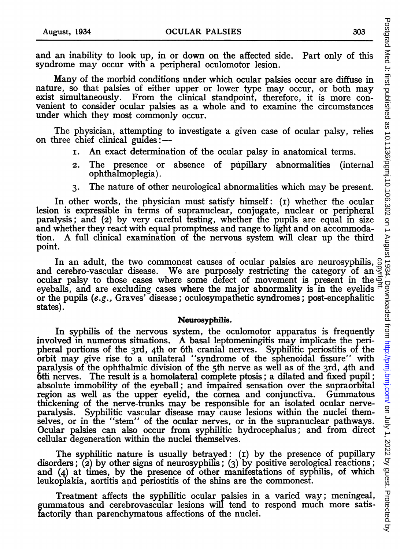and an inability to look up, in or down on the affected side. Part only of this syndrome may occur with a peripheral oculomotor lesion.

Many of the morbid conditions under which ocular palsies occur are diffuse in nature, so that palsies of either upper or lower type may occur, or both may exist simultaneously. From the clinical standpoint, therefore, it is more convenient to consider ocular palsies as a whole and to examine the circumstances under which they most commonly occur.

The physician, attempting to investigate a given case of ocular palsy, relies on three chief clinical guides: $-$ 

- i. An exact determination of the ocular palsy in anatomical terms.
- 2. The presence or absence of pupillary abnormalities (internal ophthalmoplegia).
- 3. The nature of other neurological abnormalities which may be present.

In other words, the physician must satisfy himself:  $(i)$  whether the ocular lesion is expressible in terms of supranuclear, conjugate, nuclear or peripheral paralysis; and (2) by very careful testing, whether the pupils are equal in size and whether they react with equal promptness and range to light and on accommodation. A full clinical examination of the nervous system will clear up the third point.

In an adult, the two commonest causes of ocular palsies are neurosyphilis, and cerebro-vascular disease. We are purposely restricting the category of an ocular palsy to those cases where some defect of movement is present in the In an adult, the two commonest causes of ocular palsies are neurosyphilis,  $\frac{8}{9}$  and cerebro-vascular disease. We are purposely restricting the category of an  $\frac{8}{9}$  ocular palsy to those cases where some defect of or the pupils (e.g., Graves' disease; oculosympathetic syndromes; post-encephalitic states).

#### Neurosyphilis.

In syphilis of the nervous system, the oculomotor apparatus is frequently involved in numerous situations. A basal leptomeningitis may implicate the peripheral portions of the 3rd, 4th or 6th cranial nerves. Syphilitic periostitis of the orbit may give rise to a unilateral "syndrome of the sphenoidal fissure" with paralysis of the ophthalmic division of the 5th nerve as well as of the 3rd, 4th and 6th nerves. The result is a homolateral complete ptosis; a dilated and fixed pupil; absolute immobility of the eyeball; and impaired sensation over the supraorbital region as well as the upper eyelid, the cornea and conjunctiva. thickening of the nerve-trunks may be responsible for an isolated ocular nerveparalysis. Syphilitic vascular disease may cause lesions within the nuclei themselves, or in the "stem" of the ocular nerves, or in the supranuclear pathways. Ocular palsies can also occur from syphilitic hydrocephalus; and from direct cellular degeneration within the nuclei themselves.

The syphilitic nature is usually betrayed: (1) by the presence of pupillary disorders; (2) by other signs of neurosyphilis; (3) by positive serological reactions; and (4) at times, by the presence of other manifestations of syphilis, of which leukoplakia, aortitis and periostitis of the shins are the commonest.

Treatment affects the syphilitic ocular palsies in a varied way; meningeal, gummatous and cerebrovascular lesions will tend to respond much more satisfactorily than parenchymatous affections of the nuclei.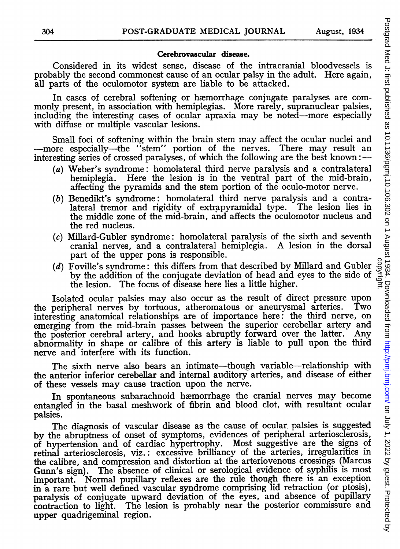### Cerebrovascular disease.

Considered in its widest sense, disease of the intracranial bloodvessels is probably the second commonest cause of an ocular palsy in the adult. Here again, all parts of the oculomotor system are liable to be attacked.

In cases of cerebral softening or haemorrhage conjugate paralyses are commonly present, in association with hemiplegias. More rarely, supranuclear palsies, including the interesting cases of ocular apraxia may be noted-more especially with diffuse or multiple vascular lesions.

Small foci of softening within the brain stem may affect the ocular nuclei and -more especially-the "stem" portion of the nerves. There may result an interesting series of crossed paralyses, of which the following are the best known:

- (a) Weber's syndrome: homolateral third nerve paralysis and a contralateral hemiplegia. Here the lesion is in the ventral part of the mid-brain, affecting the pyramids and the stem portion of the oculo-motor nerve.
- (b) Benedikt's syndrome: homolateral third nerve paralysis and a contralateral tremor and rigidity of extrapyramidal type. The lesion lies in the middle zone of the mid-brain, and affects the oculomotor nucleus and the red nucleus.
- (c) Millard-Gubler syndrome: homolateral paralysis of the sixth and seventh cranial nerves, and a contralateral hemiplegia. part of the upper pons is responsible.
- (d) Foville's syndrome: this differs from that described bv Millard and Gubler by the addition of the conjugate deviation of head and eyes to the side of the lesion. The focus of disease here lies a little higher.

Isolated ocular palsies may also occur as the result of direct pressure upon the peripheral nerves by tortuous, atheromatous or aneurysmal arteries. interesting anatomical relationships are of importance here: the third nerve, on emerging from the mid-brain passes between the superior cerebellar artery and the posterior cerebral artery, and hooks abruptly forward over the latter. Any abnormality in shape or calibre of this artery is liable to pull upon the third nerve and interfere with its function.

The sixth nerve also bears an intimate—though variable—relationship with the anterior inferior cerebellar and internal auditory arteries, and disease of either of these vessels may cause traction upon the nerve.

In spontaneous subarachnoid hemorrhage the cranial nerves may become entangled in the basal meshwork of fibrin and blood clot, with resultant ocular palsies.

The diagnosis of vascular disease as the cause of ocular palsies is suggested by the abruptness of onset of symptoms, evidences of peripheral arteriosclerosis, of hypertension and of cardiac hypertrophy. Most suggestive are the signs of of hypertension and of cardiac hypertrophy. retinal arteriosclerosis, viz.: excessive brilliancy of the arteries, irregularities in the calibre, and compression and distortion at the arteriovenous crossings (Marcus Gunn's sign). The absence of clinical or serological evidence of syphilis is most important. Normal pupillary reflexes are the rule though there is an exception in a rare but well defined vascular syndrome comprising lid retraction (or ptosis), paralysis of conjugate upward deviation of the eyes, and absence of pupillary contraction to light. The lesion is probably near the posterior commissure and upper quadrigeminal region.